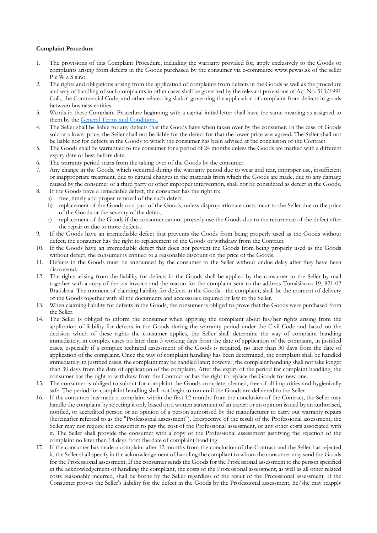## **Complaint Procedure**

- 1. The provisions of this Complaint Procedure, including the warranty provided for, apply exclusively to the Goods or complaints arising from defects in the Goods purchased by the consumer via e-commerce www.pewas.sk of the seller P e W a S s.r.o.
- 2. The rights and obligations arising from the application of complaints from defects in the Goods as well as the procedure and way of handling of such complaints in other cases shall be governed by the relevant provisions of Act No. 513/1991 Coll., the Commercial Code, and other related legislation governing the application of complaint from defects in goods between business entities.
- 3. Words in these Complaint Procedure beginning with a capital initial letter shall have the same meaning as assigned to them by the General Terms and Conditions.
- 4. The Seller shall be liable for any defects that the Goods have when taken over by the consumer. In the case of Goods sold at a lower price, the Seller shall not be liable for the defect for that the lower price was agreed. The Seller shall not be liable nor for defects in the Goods to which the consumer has been advised at the conclusion of the Contract.
- 5. The Goods shall be warrantied to the consumer for a period of 24 months unless the Goods are marked with a different expiry date or best before date.
- 6. The warranty period starts from the taking over of the Goods by the consumer.
- 7. Any change in the Goods, which occurred during the warranty period due to wear and tear, improper use, insufficient or inappropriate treatment, due to natural changes in the materials from which the Goods are made, due to any damage caused by the consumer or a third party or other improper intervention, shall not be considered as defect in the Goods.
- 8. If the Goods have a remediable defect, the consumer has the right to:
	- a) free, timely and proper removal of the such defect,
	- b) replacement of the Goods or a part of the Goods, unless disproportionate costs incur to the Seller due to the price of the Goods or the severity of the defect,
	- c) replacement of the Goods if the consumer cannot properly use the Goods due to the recurrence of the defect after the repair or due to more defects.
- 9. If the Goods have an irremediable defect that prevents the Goods from being properly used as the Goods without defect, the consumer has the right to replacement of the Goods or withdraw from the Contract.
- 10. If the Goods have an irremediable defect that does not prevent the Goods from being properly used as the Goods without defect, the consumer is entitled to a reasonable discount on the price of the Goods.
- 11. Defects in the Goods must be announced by the consumer to the Seller without undue delay after they have been discovered.
- 12. The rights arising from the liability for defects in the Goods shall be applied by the consumer to the Seller by mail together with a copy of the tax invoice and the reason for the complaint sent to the address Tomášikova 19, 821 02 Bratislava. The moment of claiming liability for defects in the Goods - the complaint, shall be the moment of delivery of the Goods together with all the documents and accessories required by law to the Seller.
- 13. When claiming liability for defects in the Goods, the consumer is obliged to prove that the Goods were purchased from the Seller.
- 14. The Seller is obliged to inform the consumer when applying the complaint about his/her rights arising from the application of liability for defects in the Goods during the warranty period under the Civil Code and based on the decision which of these rights the consumer applies, the Seller shall determine the way of complaint handling immediately, in complex cases no later than 3 working days from the date of application of the complaint, in justified cases, especially if a complex technical assessment of the Goods is required, no later than 30 days from the date of application of the complaint. Once the way of complaint handling has been determined, the complaint shall be handled immediately; in justified cases, the complaint may be handled later; however, the complaint handling shall not take longer than 30 days from the date of application of the complaint. After the expiry of the period for complaint handling, the consumer has the right to withdraw from the Contract or has the right to replace the Goods for new one.
- 15. The consumer is obliged to submit for complaint the Goods complete, cleaned, free of all impurities and hygienically safe. The period for complaint handling shall not begin to run until the Goods are delivered to the Seller.
- 16. If the consumer has made a complaint within the first 12 months from the conclusion of the Contract, the Seller may handle the complaint by rejecting it only based on a written statement of an expert or an opinion issued by an authorised, notified, or accredited person or an opinion of a person authorised by the manufacturer to carry out warranty repairs (hereinafter referred to as the "Professional assessment"). Irrespective of the result of the Professional assessment, the Seller may not require the consumer to pay the cost of the Professional assessment, or any other costs associated with it. The Seller shall provide the consumer with a copy of the Professional assessment justifying the rejection of the complaint no later than 14 days from the date of complaint handling.
- 17. If the consumer has made a complaint after 12 months from the conclusion of the Contract and the Seller has rejected it, the Seller shall specify in the acknowledgement of handling the compliant to whom the consumer may send the Goods for the Professional assessment. If the consumer sends the Goods for the Professional assessment to the person specified in the acknowledgement of handling the compliant, the costs of the Professional assessment, as well as all other related costs reasonably incurred, shall be borne by the Seller regardless of the result of the Professional assessment. If the Consumer proves the Seller's liability for the defect in the Goods by the Professional assessment, he/she may reapply